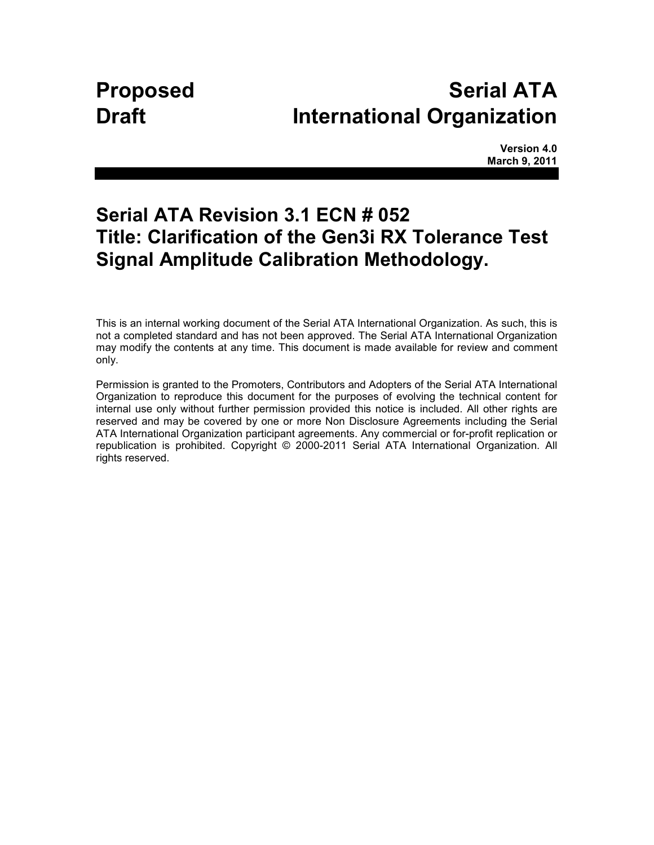# **Proposed Serial ATA Draft International Organization**

**Version 4.0 March 9, 2011** 

## **Serial ATA Revision 3.1 ECN # 052 Title: Clarification of the Gen3i RX Tolerance Test Signal Amplitude Calibration Methodology.**

This is an internal working document of the Serial ATA International Organization. As such, this is not a completed standard and has not been approved. The Serial ATA International Organization may modify the contents at any time. This document is made available for review and comment only.

Permission is granted to the Promoters, Contributors and Adopters of the Serial ATA International Organization to reproduce this document for the purposes of evolving the technical content for internal use only without further permission provided this notice is included. All other rights are reserved and may be covered by one or more Non Disclosure Agreements including the Serial ATA International Organization participant agreements. Any commercial or for-profit replication or republication is prohibited. Copyright © 2000-2011 Serial ATA International Organization. All rights reserved.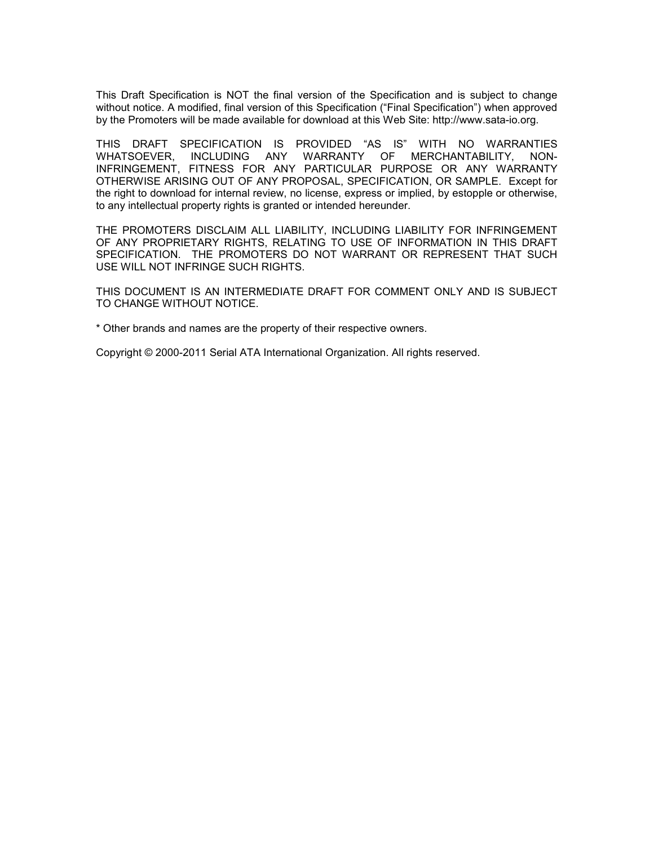This Draft Specification is NOT the final version of the Specification and is subject to change without notice. A modified, final version of this Specification ("Final Specification") when approved by the Promoters will be made available for download at this Web Site: http://www.sata-io.org.

THIS DRAFT SPECIFICATION IS PROVIDED "AS IS" WITH NO WARRANTIES WHATSOEVER, INCLUDING ANY WARRANTY OF MERCHANTABILITY, NON-INFRINGEMENT, FITNESS FOR ANY PARTICULAR PURPOSE OR ANY WARRANTY OTHERWISE ARISING OUT OF ANY PROPOSAL, SPECIFICATION, OR SAMPLE. Except for the right to download for internal review, no license, express or implied, by estopple or otherwise, to any intellectual property rights is granted or intended hereunder.

THE PROMOTERS DISCLAIM ALL LIABILITY, INCLUDING LIABILITY FOR INFRINGEMENT OF ANY PROPRIETARY RIGHTS, RELATING TO USE OF INFORMATION IN THIS DRAFT SPECIFICATION. THE PROMOTERS DO NOT WARRANT OR REPRESENT THAT SUCH USE WILL NOT INFRINGE SUCH RIGHTS.

THIS DOCUMENT IS AN INTERMEDIATE DRAFT FOR COMMENT ONLY AND IS SUBJECT TO CHANGE WITHOUT NOTICE.

\* Other brands and names are the property of their respective owners.

Copyright © 2000-2011 Serial ATA International Organization. All rights reserved.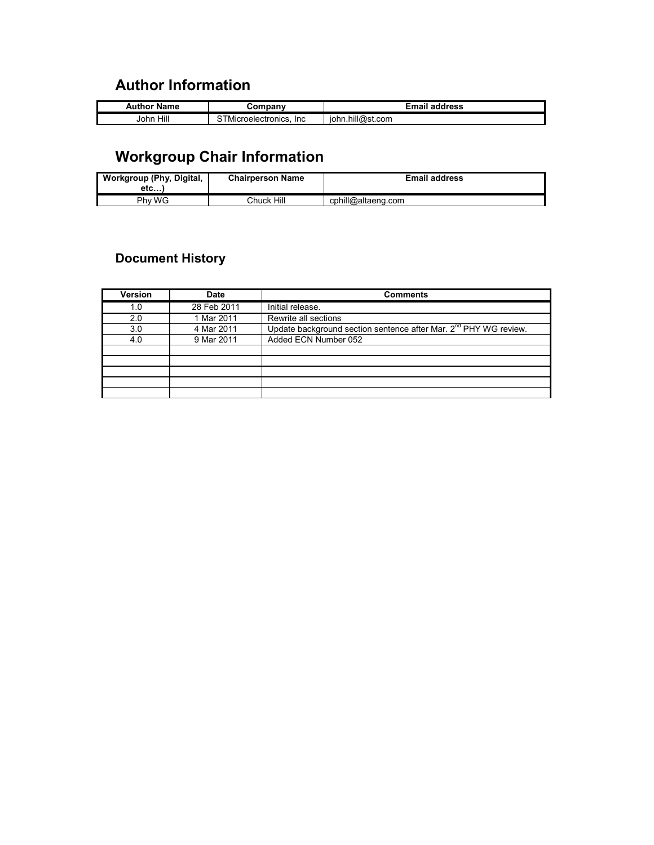### **Author Information**

| Name<br><b>Author</b> |                                            | address                       |
|-----------------------|--------------------------------------------|-------------------------------|
| Hill<br>John          | <b>Inc</b><br>l Microelectronics<br>onics. | <br>.hill@r<br>st.com<br>lohr |

## **Workgroup Chair Information**

| Workgroup (Phy, Digital,<br>etc | <b>Chairperson Name</b> | <b>Email address</b> |
|---------------------------------|-------------------------|----------------------|
| Phy WG                          | Chuck Hill              | cphill@altaeng.com   |

### **Document History**

| Version | <b>Date</b> | <b>Comments</b>                                                              |
|---------|-------------|------------------------------------------------------------------------------|
| 1.0     | 28 Feb 2011 | Initial release.                                                             |
| 2.0     | 1 Mar 2011  | Rewrite all sections                                                         |
| 3.0     | 4 Mar 2011  | Update background section sentence after Mar. 2 <sup>nd</sup> PHY WG review. |
| 4.0     | 9 Mar 2011  | Added ECN Number 052                                                         |
|         |             |                                                                              |
|         |             |                                                                              |
|         |             |                                                                              |
|         |             |                                                                              |
|         |             |                                                                              |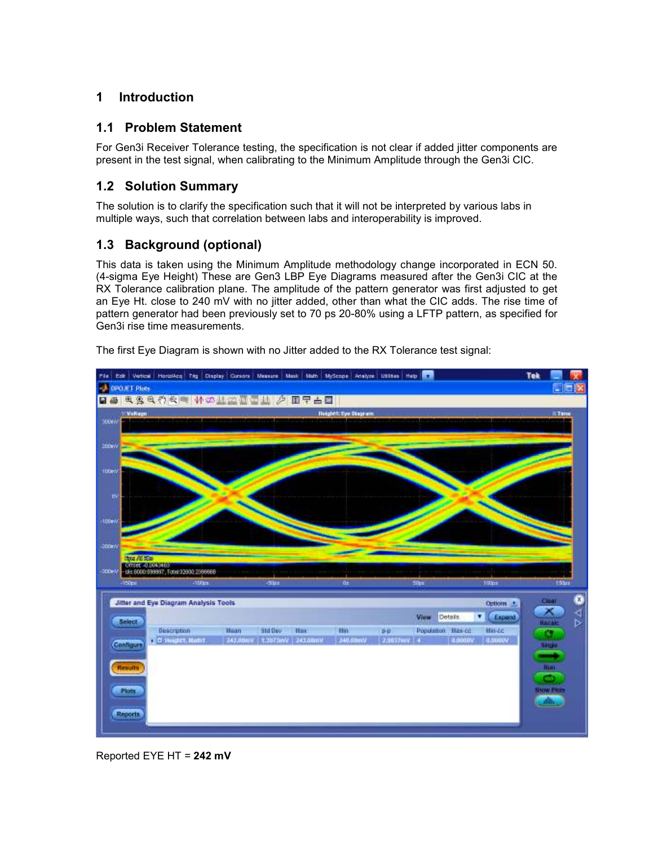#### **1 Introduction**

#### **1.1 Problem Statement**

For Gen3i Receiver Tolerance testing, the specification is not clear if added jitter components are present in the test signal, when calibrating to the Minimum Amplitude through the Gen3i CIC.

#### **1.2 Solution Summary**

The solution is to clarify the specification such that it will not be interpreted by various labs in multiple ways, such that correlation between labs and interoperability is improved.

#### **1.3 Background (optional)**

This data is taken using the Minimum Amplitude methodology change incorporated in ECN 50. (4-sigma Eye Height) These are Gen3 LBP Eye Diagrams measured after the Gen3i CIC at the RX Tolerance calibration plane. The amplitude of the pattern generator was first adjusted to get an Eye Ht. close to 240 mV with no jitter added, other than what the CIC adds. The rise time of pattern generator had been previously set to 70 ps 20-80% using a LFTP pattern, as specified for Gen3i rise time measurements.



The first Eye Diagram is shown with no Jitter added to the RX Tolerance test signal:

Reported EYE HT = **242 mV**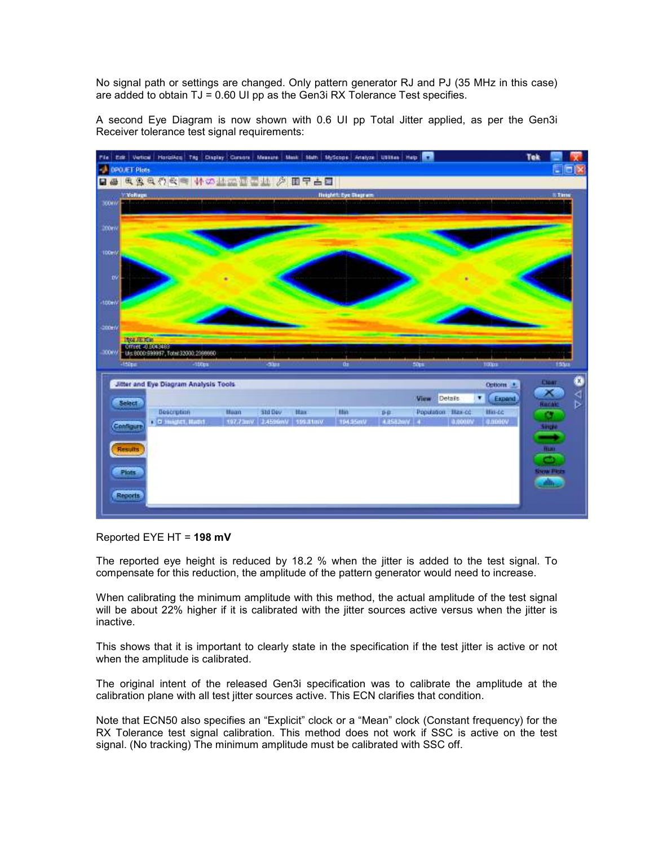No signal path or settings are changed. Only pattern generator RJ and PJ (35 MHz in this case) are added to obtain  $TJ = 0.60$  UI pp as the Gen3i RX Tolerance Test specifies.

A second Eye Diagram is now shown with 0.6 UI pp Total Jitter applied, as per the Gen3i Receiver tolerance test signal requirements:



Reported EYE HT = **198 mV**

The reported eye height is reduced by 18.2 % when the jitter is added to the test signal. To compensate for this reduction, the amplitude of the pattern generator would need to increase.

When calibrating the minimum amplitude with this method, the actual amplitude of the test signal will be about 22% higher if it is calibrated with the jitter sources active versus when the jitter is inactive.

This shows that it is important to clearly state in the specification if the test jitter is active or not when the amplitude is calibrated.

The original intent of the released Gen3i specification was to calibrate the amplitude at the calibration plane with all test jitter sources active. This ECN clarifies that condition.

Note that ECN50 also specifies an "Explicit" clock or a "Mean" clock (Constant frequency) for the RX Tolerance test signal calibration. This method does not work if SSC is active on the test signal. (No tracking) The minimum amplitude must be calibrated with SSC off.